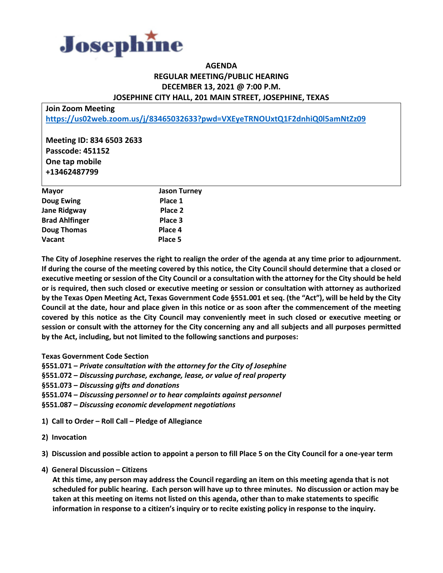

## **AGENDA REGULAR MEETING/PUBLIC HEARING DECEMBER 13, 2021 @ 7:00 P.M. JOSEPHINE CITY HALL, 201 MAIN STREET, JOSEPHINE, TEXAS**

**Join Zoom Meeting <https://us02web.zoom.us/j/83465032633?pwd=VXEyeTRNOUxtQ1F2dnhiQ0l5amNtZz09>**

**Meeting ID: 834 6503 2633 Passcode: 451152 One tap mobile +13462487799**

| <b>Mayor</b>          | <b>Jason Turney</b> |
|-----------------------|---------------------|
| <b>Doug Ewing</b>     | Place 1             |
| Jane Ridgway          | Place 2             |
| <b>Brad Ahlfinger</b> | Place 3             |
| <b>Doug Thomas</b>    | Place 4             |
| Vacant                | Place 5             |

**The City of Josephine reserves the right to realign the order of the agenda at any time prior to adjournment. If during the course of the meeting covered by this notice, the City Council should determine that a closed or executive meeting or session of the City Council or a consultation with the attorney for the City should be held or is required, then such closed or executive meeting or session or consultation with attorney as authorized by the Texas Open Meeting Act, Texas Government Code §551.001 et seq. (the "Act"), will be held by the City Council at the date, hour and place given in this notice or as soon after the commencement of the meeting covered by this notice as the City Council may conveniently meet in such closed or executive meeting or session or consult with the attorney for the City concerning any and all subjects and all purposes permitted by the Act, including, but not limited to the following sanctions and purposes:**

**Texas Government Code Section**

**§551.071 –** *Private consultation with the attorney for the City of Josephine*

**§551.072 –** *Discussing purchase, exchange, lease, or value of real property*

**§551.073 –** *Discussing gifts and donations*

**§551.074 –** *Discussing personnel or to hear complaints against personnel*

**§551.087 –** *Discussing economic development negotiations*

**1) Call to Order – Roll Call – Pledge of Allegiance**

**2) Invocation**

**3) Discussion and possible action to appoint a person to fill Place 5 on the City Council for a one-year term**

**4) General Discussion – Citizens**

 **At this time, any person may address the Council regarding an item on this meeting agenda that is not scheduled for public hearing. Each person will have up to three minutes. No discussion or action may be taken at this meeting on items not listed on this agenda, other than to make statements to specific information in response to a citizen's inquiry or to recite existing policy in response to the inquiry.**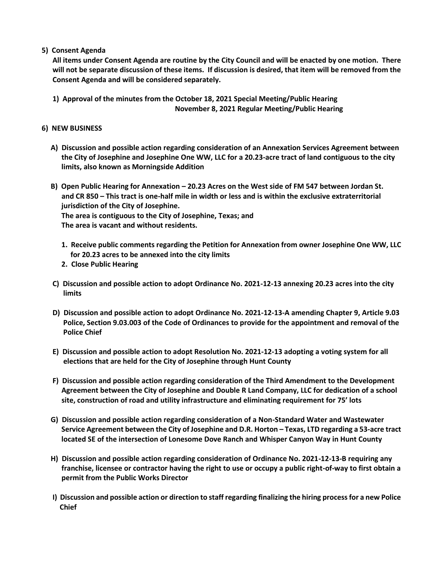**5) Consent Agenda**

 **All items under Consent Agenda are routine by the City Council and will be enacted by one motion. There will not be separate discussion of these items. If discussion is desired, that item will be removed from the Consent Agenda and will be considered separately.**

 **1) Approval of the minutes from the October 18, 2021 Special Meeting/Public Hearing November 8, 2021 Regular Meeting/Public Hearing**

## **6) NEW BUSINESS**

- **A) Discussion and possible action regarding consideration of an Annexation Services Agreement between the City of Josephine and Josephine One WW, LLC for a 20.23-acre tract of land contiguous to the city limits, also known as Morningside Addition**
- **B) Open Public Hearing for Annexation – 20.23 Acres on the West side of FM 547 between Jordan St. and CR 850 – This tract is one-half mile in width or less and is within the exclusive extraterritorial jurisdiction of the City of Josephine. The area is contiguous to the City of Josephine, Texas; and The area is vacant and without residents.**
	- **1. Receive public comments regarding the Petition for Annexation from owner Josephine One WW, LLC for 20.23 acres to be annexed into the city limits**
	- **2. Close Public Hearing**
- **C) Discussion and possible action to adopt Ordinance No. 2021-12-13 annexing 20.23 acres into the city limits**
- **D) Discussion and possible action to adopt Ordinance No. 2021-12-13-A amending Chapter 9, Article 9.03 Police, Section 9.03.003 of the Code of Ordinances to provide for the appointment and removal of the Police Chief**
- **E) Discussion and possible action to adopt Resolution No. 2021-12-13 adopting a voting system for all elections that are held for the City of Josephine through Hunt County**
- **F) Discussion and possible action regarding consideration of the Third Amendment to the Development Agreement between the City of Josephine and Double R Land Company, LLC for dedication of a school site, construction of road and utility infrastructure and eliminating requirement for 75' lots**
- **G) Discussion and possible action regarding consideration of a Non-Standard Water and Wastewater Service Agreement between the City of Josephine and D.R. Horton – Texas, LTD regarding a 53-acre tract located SE of the intersection of Lonesome Dove Ranch and Whisper Canyon Way in Hunt County**
- **H) Discussion and possible action regarding consideration of Ordinance No. 2021-12-13-B requiring any franchise, licensee or contractor having the right to use or occupy a public right-of-way to first obtain a permit from the Public Works Director**
- **I) Discussion and possible action or direction to staff regarding finalizing the hiring process for a new Police Chief**